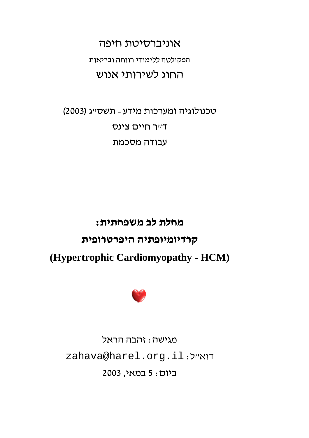אוניברסיטת חיפה הפקולטה ללימודי רווחה ובריאות החוג לשירותי אנוש

טכנולוגיה ומערכות מידע - תשסייג (2003) דייר חיים צינס עבודה מסכמת

# מחלת לב משפחתית: קרדיומיופתיה היפרטרופית (Hypertrophic Cardiomyopathy - HCM)



מגישה : זהבה הראל zahava@harel.org.il:אייל ביום: 5 במאי, 2003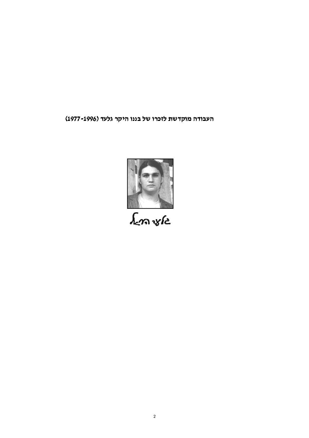העבודה מוקדשת לזכרו של בננו היקר גלעד (1996- 1977)

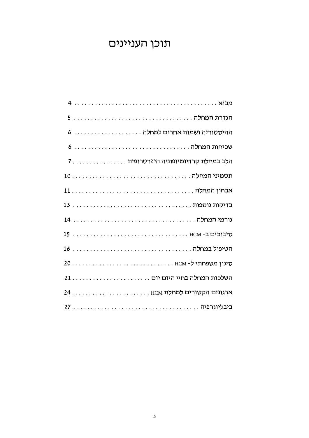## תוכן העניינים

| הלב במחלת קרדיומיופתיה היפרטרופית 7 |
|-------------------------------------|
|                                     |
|                                     |
|                                     |
|                                     |
|                                     |
|                                     |
| סינון משפחתי ל- HCM  HCM            |
|                                     |
|                                     |
|                                     |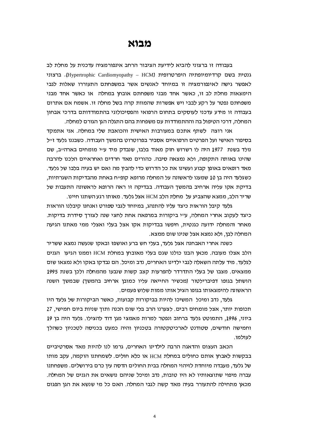#### מבוא

בעבודה זו ברצוני להביא לידיעת הציבור הרחב אינפורמציה עדכנית על מחלת לב גנטית בשם קרדיומיופתיה היפרטרופית (Hypertrophic Cardiomyopathy – HCM). ברצוני לאפשר גישה לאינפורמציה זו במיוחד לאנשים אשר במשפחתם התעוררו שאלות לגבי הימצאות מחלת לב זו, כאשר אחד מבני משפחתם אובחן במחלה או כאשר אחד מבני משפחתם נפטר על רקע לבבי ויש אפשרות שהמוות קרה בשל מחלה זו. אשמח אם אתרום בעבודה זו מידע עדכני לעוסקים בתחום הרפואי והפסיכולוגי בהתמודדותם בדרכי אבחוו המחלה, דרכי הטיפול בה וההתמודדות עם משפחות בהם התגלה הגן הגורם למחלה.

אני רוצה לשתף אתכם במעורבות האישית והכואבת שלי במחלה. אני אתמקד בסיפור האישי ועל הפרטים הרפואיים אסביר בפרוטרוט בהמשך העבודה. כשבננו גלעד זייל נולד בשנת 1977 היה לו רשרוש חזק מאוד בלבו, שנבדק מיד עייי מומחים בארהייב, שם שהינו באותה התקופה, ולא נמצאה סיבה. כהורים מאד חרדים ואחראיים הלכנו להרבה מאד רופאים באופן קבוע ועשינו את כל הדרוש כדי להבין מה ואם יש בעיה בלבו של גלעד. כשגלעד היה בן 10 שמענו לראשונה על המחלה מרופא קופ״ח באחת מהבדיקות השגרתיות, בדיקת אקו עליה ארחיב בהמשך העבודה. בבדיקה זו ראה הרופא לראשונה התעבות של שריר הלב, ממצא שהצביע על מחלת הלב HCM אצל גלעד. מאותו רגע השתנו חיינו.

גלעד קיבל הוראות כיצד עליו להתנהג, במיוחד לגבי ספורט ואנחנו קיבלנו הוראות כיצד לעקוב אחרי המחלה, ע״י ביקורות במרפאה אחת לחצי שנה לצורד סידרת בדיקות. מאחר והמחלה ידועה כגנטית. חיפשו בבדיקות אקו אצל בעלי ואצלי ממי מאתנו הגיעה המחלה לבו, ולא נמצא אצל שנינו שום ממצא.

כשנה אחרי האבחנה אצל גלעד. בעלי חש ברע ואושפז ובאקו שנעשה נמצא ששריר הלב אצלו מעובה. מכאן הבנו כולנו שגם בעלי מאובחן במחלת HCM וממנו הגיעו הגנים לגלעד. מיד עלתה השאלה לגבי ילדינו האחרים, נדב ומיכל. הם נבדקו באקו ולא נמצאו שום ממצאים. מצבו של בעלי התדרדר להפרעות קצב קשות שנבעו מהמחלה ולכן בשנת 1995 הושתל בגופו דפיברילטור (מכשיר החייאה עליו כמובן ארחיב בהמשך) שבמשך השנה הראשונה להימצאותו בגופו הציל אותו ממות שלוש פעמים.

גלעד, נדב ומיכל המשיכו להיות בביקורות קבועות, כאשר הביקורות של גלעד היו תכופות יותר, אצל מומחים רבים. לצערנו הרב בלי שום הכנה ותוך שניות ביום חמישי, 27 ביוני, 1996, התמוטט גלעד ברחוב ונפטר למרות מאמצי מגן דוד להצילו. גלעד היה בן 19 וחמישה חודשים, סטודנט לארכיטקטורה בטכניון והיה כמעט בכניסה לטכניון כשהלך לעולמו.

הכאב העצום והדאגה הרבה לילדינו האחרים, גרמו לנו להיות מאד אסרטיביים בבקשות לאבחו אותם כחולים במחלת HCM או כלא חולים. לשמחתנו הוקמה, עקב מותו של גלעד, מעבדה מיוחדת לזיהוי המחלה בבית החולים הדסה עין כרם בירושלים. משפחתנו עברה מיפוי שתוצאותיו לא היו טובות, נדב ומיכל שניהם נושאים את הגנים של המחלה. מכאן מתחילה להתעורר בעיה מאד קשה לגבי המחלה. האם כל מי שנשא את הגן הפגום

 $\overline{4}$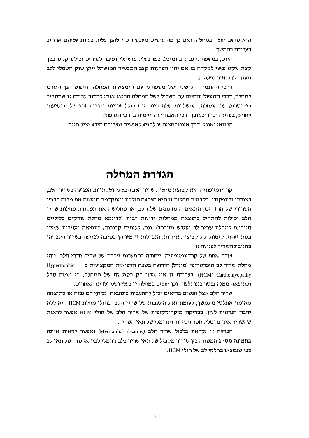הוא נחשב חולה במחלה, ואם כן מה עושים מעכשיו כדי להגן עליו. בעיות עליהם ארחיב בעבודה בהמשך.

היום, במשפחתי גם נדב ומיכל, כמו בעלי, מושתלי דפיברילטורים וכולנו קנינו בכך קצת שקט נפשי למקרה בו אם יהיו הפרעות קצב המכשיר המושתל ייתן שוק חשמלי ללב ויעזור לו לחזור לפעולה.

דרכי ההתמודדות שלי ושל משפחתי עם הימצאות המחלה, חיפוש הגן הגורם למחלה, דרכי הטיפול והחיים עם השכול בשל המחלה הביאו אותי לכתוב עבודה זו שתסביר בפרוטרוט על המחלה, ההשלכות שלה ביום יום כולל זכויות וחובות (בצה״ל, בנסיעות לחו״ל, בנהיגה וכו׳) וכמובן דרכי האבחון והדילמות בדרכי הטיפול.

הלוואי ואוכל דרך אינפורמציה זו להגיע לאנשים שעבורם הידע יציל חיים.

### הגדרת המחלה

קרדיומיופתיה היא קבוצת מחלות שריר הלב הבלתי דלקתיות. הפגיעה בשריר הלב, בצורתו ובתפקודו, בקבוצת מחלות זו היא הפרעה הולכת ומתקדמת המשנה את מבנה הדופן השרירי של החדרים, התאים התחתונים של הלב, או מחלישה את תפקודו. מחלות שריר הלב יכולות להתחיל כתוצאה ממחלות ידועות רבות (לדוגמא מחלת עורקים כליליים הגורמת למחלת שריר לב מוגדש ומורחב), וגם, לעיתים קרובות, כתוצאה מסיבות שאינן בנות זיהוי. קימות תת-קבוצות אחדות, הנבדלות זו מזו הן בסיבה לפגיעה בשריר הלב והן בתגובת השריר לפגיעה זו.

צורה אחת של קרדיומיופתיה, ייחודה בהתעבות ניכרת של שריר חדרי הלב. זוהי מחלת שריר לב היפרטרופי (מוגדל) הידועה בשפה הרפואית המקצועית כ-Hypertrophic HCM) Cardiomyopathy). בעבודה זו אני אדון רק בסוג זה של המחלה, כי ממנה סבל וכתוצאה ממנה נפטר בננו גלעד , וכן חולים במחלה זו בעלי ושני ילדינו האחרים.

שריר הלב אצל אנשים בריאים יכול להתעבות כתוצאה מלחץ דם גבוה או כתוצאה מאימון אתלטי מתמשך, לעומת זאת התעבות של שריר הלב בחולי מחלת HCM היא ללא סיבה הנראית לעיו. בבדיקה מיקרוסקופית של שריר הלב של חולי HCM אפשר לראות שהשריר אינו נורמלי, חסר הסידור הנורמלי של תאי השריר.

הפרעה זו נקראת בלבול שריר הלב (Myocardial disarray) ואפשר לראות אותה **בתמונה מס**׳ 1 המשווה בין סידור מקביל של תאי שריר בלב נורמלי לבין אי סדר של תאי לב כפי שנמצאו בחלקי לב של חולי HCM.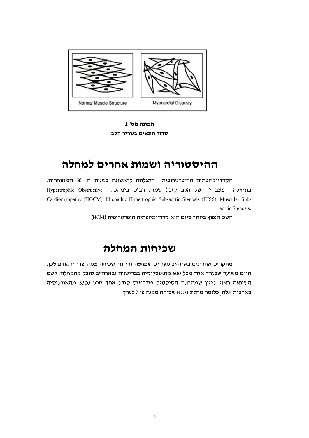

תמונה מס׳ 1 סדור התאים בשריר הלב

### ההיסטוריה ושמות אחרים למחלה

הקרדיומיופתיה ההיפרטרופית התגלתה לראשונה בשנות ה- 50 המאוחרות. Hypertrophic Obstructive מצב זה של הלב קיבל שמות רבים ביניהם: בתחילה Cardiomyopathy (HOCM), Idiopathic Hypertrophic Sub-aortic Stenosis (IHSS), Muscular Subaortic Stenosis.

השם הנפוץ ביותר כיום הוא קרדיומיופתיה היפרטרופית (HCM).

### שכיחות המחלה

מחקרים אחרונים בארה״ב מעידים שמחלה זו יותר שכיחה ממה שדווח קודם לכן. היום משוער שבערך אחד מכל 500 מהאוכלוסיה בבריטניה ובארהייב סובל מהמחלה. לשם השוואה ראוי לציין שממחלת הסיסטיק פיברוזיס סובל אחד מכל 3300 מהאוכלוסיה בארצות אלה, כלומר מחלת HCM שכיחה ממנה פי 7 לערך.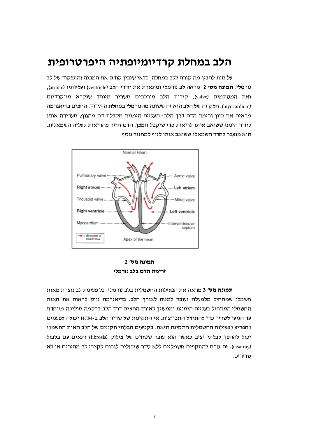### הלב במחלת קרדיומיופתיה היפרטרופית

על מנת להבין מה קורה ללב במחלה, כדאי שנבין קודם את המבנה והתפקוד של לב נורמלי. **תמונה מס׳ 2** מראה לב נורמלי ומתארת את חדרי הלב (ventricle) ועליותיו (atrium), ואת המסתמים (valve). קירות הלב מורכבים משריר מיוחד שנקרא מיוקרדיום (myocardium). חלק זה של הלב הוא זה ששונה מהנורמלי במחלת ה-HCM. החצים בדיאגרמה מראים את כוון זרימת הדם דרך הלב: העלייה הימנית מקבלת דם מהגוף, מעבירה אותו לחדר הימני ששואב אותו לריאות כדי שיקבל חמצן. הדם חוזר מהריאות לעליה השמאלית. הוא מועבר לחדר השמאלי ששואב אותו לגוף למחזור נוסף.



תמונה מסי 2 זרימת הדם בלב נורמלי

**תמונה מס׳ 3** מראה את הפעילות החשמלית בלב נורמלי. כל פעימת לב נוצרת מאות חשמלי שמתחיל מלמעלה ועובר למטה לאורד הלב. בדיאגרמה ניתו לראות את האות החשמלי המתחיל בעלייה הימנית וממשיך לאורך החצים דרך הלב ברקמה מוליכה מיוחדת עד הגיעו לשריר כדי להתחיל התכווצות. אי התקינות של שריר הלב ב-HCM יכולה לפעמים להפריע לפעילות החשמלית התקינה הזאת. בקטעים הבלתי תקינים של הלב האות החשמלי יכול לההפך לבלתי יציב כאשר הוא עובר שטחים של צילוק (fibrosis) ותאים עם בלבול (disarray). זה גורם להתקפים חשמליים ללא סדר שיכולים לגרום לקצבי לב מהירים או לא סדירים.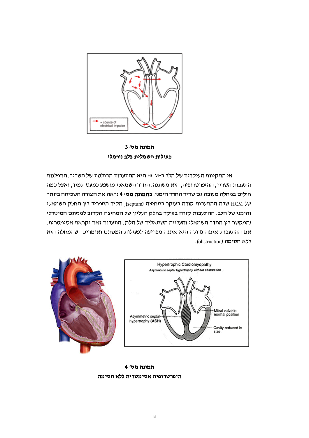

תמונה מס׳ 3 פעילות חשמלית בלב נורמלי

אי התקינות העיקרית של הלב ב-HCM היא ההתעבות הבולטת של השריר. התפלגות התעבות השריר, ההיפרטרופיה, היא משתנה. החדר השמאלי מושפע כמעט תמיד, ואצל כמה חולים במחלה מעובה גם שריר החדר הימני. **בתמונה מס׳ 4** נראה את הצורה השכיחה ביותר של HCM שבה ההתעבות קורה בעיקר במחיצה (septum), הקיר המפריד בין החלק השמאלי והימני של הלב. ההתעבות קורה בעיקר בחלק העליון של המחיצה הקרוב למסתם המיטרלי (המקשר בין החדר השמאלי והעלייה השמאלית של הלב). התעבות זאת נקראת אסימטרית. אם ההתעבות איננה גדולה היא איננה מפריעה לפעילות המסתם ואומרים | שהמחלה היא ללא חסימה (obstruction).



תמונה מס׳ 4

#### היפרטרופיה אסימטרית ללא חסימה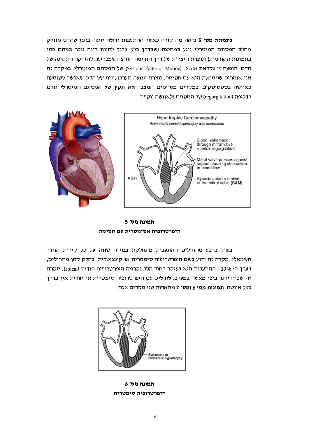בתמונה מס׳ 5 נראה מה קורה כאשר ההתעבות גדולה יותר. בזמן שהדם מוזרק מהלב המסתם המיטרלי נוגע במחיצה (שבדרך כלל צריך להיות רווח ניכר בניהם כמו בתמונות הקודמות) ונוצרת היצרות של דרך הזרימה החוצה שמפריעה להזרקה התקינה של הדם. תופעה זו נקראת Systolic Anterior Motion) SAM של המסתם המיטרלי. במקרה זה אנו אומרים שהמחלה היא עם חסימה. נוצרת תנועה מערבולתית של הדם שאפשר לשומעה כאוושה בסטטוסקופ. במקרים מסוימים המצב הלא תקין של המסתם המיטרלי גורם לדליפה (regurgitation) של המסתם ולאוושה נוספת.



תמונה מס׳ 5 היפרטרופיה אסימטרית עם חסימה

בערך ברבע מהחולים ההתעבות מתחלקת במידה שווה על כל קירות החדר השמאלי. מקרה זה ידוע בשם היפרטרופיה סימטרית או קונצנטרית. בחלק קטן מהחולים, בערך ב- 10%, ההתעבות היא בעיקר בחוד הלב וקרויה היפרטרופיה חודית (apical). מקרה זה שכיח יותר ביפן מאשר במערב. לחולים עם היפרטרופיה סימטרית או חודית אין בדרך כלל אוושה. **תמונות מס׳ 6 ומס׳ 7** מתארות שני מקרים אלה.



תמונה מס׳ 6 היפרטרופיה סימטרית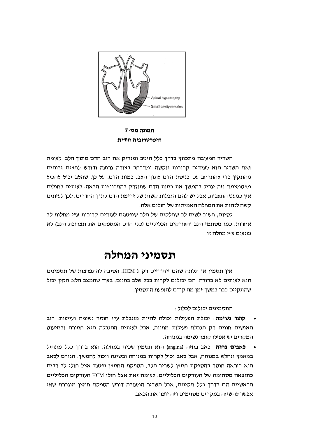

תמונה מס׳ 7 היפרטרופיה חודית

השריר המעובה מתכווץ בדרך כלל היטב ומזריק את רוב הדם מתוך הלב. לעומת זאת השריר הוא לעיתים קרובות נוקשה ומתרחב בצורה גרועה ודורש לחצים גבוהים מהתקין כדי להתרחב עם כניסת הדם לתוך הלב. כמות הדם, על כן, שהלב יכול להכיל מצטמצמת וזה יגביל בהמשך את כמות הדם שתוזרק בהתכווצות הבאה. לעיתים לחולים אין כמעט התעבות, אבל יש להם הגבלות קשות של זרימת הדם לתוך החדרים. לכן לעיתים קשה לזהות את המחלה האמיתית של חולים אלה.

לסיום, חשוב לשים לב שחלקים של הלב שנפגעים לעיתים קרובות ע״י מחלות לב אחרות, כמו מסתמי הלב והעורקים הכליליים (כלי הדם המספקים את תצרוכת הלב) לא נפגעים ע״י מחלה זו.

### תסמיני המחלה

אין תסמין או תלונה שהם ייחודיים רק ל-HCM. הסיבה להתפרצות של תסמינים היא לעיתים לא ברורה. הם יכולים לקרות בכל שלב בחיים, בעוד שהמצב הלא תקין יכול שהתקיים כבר במשך זמן מה קודם להופעת התסמין.

התסמינים יכולים לכלול :

- קוצר נשימה: יכולת הפעילות יכולה להיות מוגבלת ע"י חוסר נשימה ועייפות. רוב האנשים חווים רק הגבלת פעילות מתונה, אבל לעיתים ההגבלה היא חמורה ובמיעוט המקרים יש אפילו קוצר נשימה במנוחה.
- כאבים בחזה: כאב בחזה (angina) הוא תסמין שכיח במחלה. הוא בדרך כלל מתחיל במאמץ ונחלש במנוחה, אבל כאב יכול לקרות במנוחה ובשינה ויכול להמשך. הגורם לכאב הוא כנראה חוסר בהספקת חמצן לשריר הלב. הספקת החמצן נפגעת אצל חולי לב רבים כתוצאה מסתימה של העורקים הכליליים, לעומת זאת אצל חולי HCM העורקים הכליליים הראשיים הם בדרך כלל תקינים, אבל השריר המעובה דורש הספקת חמצן מוגברת שאי אפשר להשיגה במקרים מסוימים וזה יוצר את הכאב.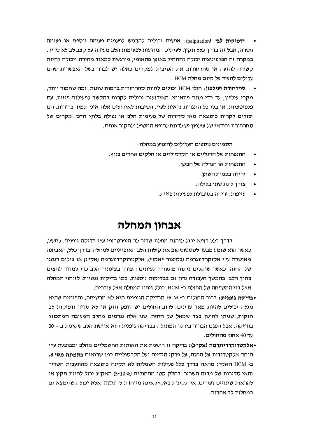- "**דפיקות לב**" (palpitation): אנשים יכולים להרגיש לפעמים פעימה נוספת או פעימה חסרה, אבל זה בדרך כלל תקין. לעיתים המודעות לפעימות הלב מעידה על קצב לב לא סדיר. במקרה זה הפלפיטציה יכולה להתחיל באופן פתאומי, מורגשת כמאוד מהירה ויכולה להיות קשורה להזעה או סחרחורת. את הסיבות למקרים כאלה יש לברר בשל האפשרות שהם עלולים להעיד על קיום מחלת HCM .
- סחרחורת ועילפון: חולי HCM יכולים לחוות סחרחורות ברמות שונות, ומה שחמור יותר, מקרי עילפון, עד כדי מוות פתאומי. האירועים יכולים לקרות בהקשר לפעילות פיזית, עם פלפיטציות, או בלי כל התגרות נראית לעין. הסיבות לאירועים אלה אינן תמיד ברורות. הם יכולים לקרות כתוצאה מאי סדירות של פעימות הלב או נפילה בלחץ הדם. מקרים של סחרחורת ובודאי של עילפון יש לדווח לרופא המטפל ולחקור אותם.

תסמינים נוספים העלולים להופיע במחלה :

- התנפחות של הרגליים או הקרסוליים או חלקים אחרים בגוף.
	- התנפחות או הגדלה של הבטן.
		- ירידה בכמות השתן.
		- צורד לתת שתו בלילה.
	- עייפות, ירידה בסיבולת לפעילות פיזית.

### אבחון המחלה

בדרך כלל רופא יכול לזהות מחלת שריר לב היפרטרופי ע״י בדיקה גופנית. למשל, כאשר הוא שומע מבעד לסטטוסקופ את קולות הלב האופייניים למחלה. בדרך כלל, האבחנה מאושרת ע״י אקוקרדיוגרמה (בקיצור "אקו"), אלקטרוקרדיוגרמה (אק"ג) או צילום רנטגן של החזה. כאשר שוקלים ניתוח מתעורר לעיתים הצורך בצינתור הלב כדי למדוד לחצים בתוך הלב. בהמשך העבודה נדון גם בבדיקות נוספות, כמו בדיקות גנטיות, לזיהוי המחלה אצל בני המשפחה של החולה ב- HCM, כולל זיהוי המחלה אצל עוברים.

- •בדיקה גופנית: ברוב החולים ב- HCM הבדיקה הגופנית היא לא מרשימה, והפגמים שהיא מגלה יכולים להיות מאד עדינים. לרוב החולים יש דופק חזק או לא סדיר ודפיקות לב חזקות, שניתן לחושן בצד שמאל של החזה. שני אלה נגרמים מהלב המעובה המתכווץ בחוזקה. אבל הפגם הברור ביותר המתגלה בבדיקה גופנית הוא אוושת הלב שקימת ב – 30 עד 40 אחוז מהחולים.
- •אלקטרוקרדיוגרמה (אק״ג): בדיקה זו רושמת את האותות החשמליים מהלב ומבוצעת ע״י הנחת אלקטרודות על החזה, על פרקי הידיים ועל הקרסוליים כמו שרואים **בתמונה מס׳ 8.** ב- HCM האק״ג מראה בדרך כלל פעילות חשמלית לא תקינה כתוצאה מהתעבות השריר והאי סדירות של מבנה השריר. בחלק קטן מהחולים (5-10%) האק״ג יכול להיות תקין או להראות שינויים זעירים. אי תקינות באק״ג אינה מיוחדת ל- HCM אלא יכולה להימצא גם במחלות לב אחרות.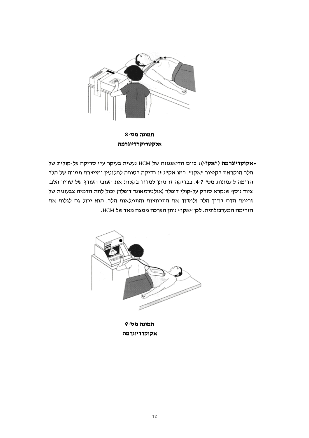

תמונה מס׳ 8 אלקטרוקרדיוגרמה

ועשית בעיקר עייי סריקה על-קולית של HCM אקוקדיוגרמה ("אקו"): כיום הדיאגנוזה של HCM הלב הנקראת בקיצור "אקו". כמו אק"ג זו בדיקה בטוחה לחלוטין ומייצרת תמונה של הלב הדומה לתמונות מסי 7-4. בבדיקה זו ניתן למדוד בקלות את העובי העודף של שריר הלב. ציוד נוסף שנקרא סורק על-קולי דופלר (אולטרסאונד דופלר) יכול לתת הדמיה צבעונית של זרימת הדם בתוך הלב ולמדוד את התכווצות והתמלאות הלב. הוא יכול גם לגלות את הזרימה המערבולתית. לכן "אקו" נותן הערכה ממצה מאד של HCM.



תמונה מס׳ 9 אקוקרדיוגרמה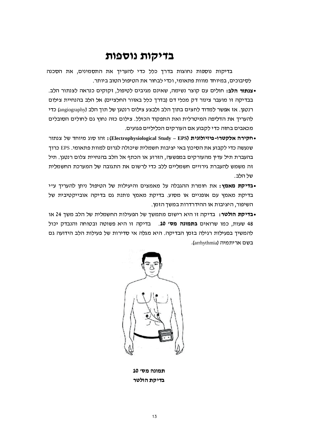#### בדיקות נוספות

בדיקות נוספות נחוצות בדרך כלל כדי להעריך את התסמינים, את הסכנה לסיבוכים, במיוחד מווות פתאומי, וכדי לבחור את הטיפול הטוב ביותר.

- •**צנתור הלב:** חולים עם קוצר נשימה, שאינם מגיבים לטיפול, זקוקים כנראה לצנתור הלב. בבדיקה זו מועבר צינור דק מכלי דם (בדרך כלל באזור החלציים) אל הלב בהנחיית צילום רנטגן. אז אפשר למדוד לחצים בתוך הלב ולבצע צילום רנטגן של תוך הלב (angiography) כדי להעריך את הדליפה המיטרלית ואת התפקוד הכולל. צילום כזה נחוץ גם לחולים הסובלים מכאבים בחזה כדי לקבוע אם העורקים הכליליים פגועים.
- חקירה אלקטרו-פיזיולוגית (Electrophysiological Study EPS): זהו סוג מיוחד של צנתור שנעשה כדי לקבוע את הסיכון באי יציבות חשמלית שיכולה לגרום למוות פתאומי. EPS כרוך בהעברת תיל עדיו מהעורקים במפשעה. הזרוע או הכתף אל הלב בהנחיית צלום רנטגו. תיל זה משמש להעברת גירויים חשמליים ללב כדי לרשום את התגובה של המערכת החשמלית של הלר
- •בדיקת מאמץ: את חומרת ההגבלה על מאמצים והיעילות של הטיפול ניתן להעריך ע״י בדיקת מאמץ עם אופניים או מסוע. בדיקת מאמץ נותנת גם בדיקה אובייקטיבית של השיפור, היציבות או ההידרדרות במשך הזמן.
- •בדיקת הולטר: בדיקה זו היא רישום מתמשד של הפעילות החשמלית של הלב משד 24 או 48 שעות, כמו שרואים **בתמונה מס' 10**. – בדיקה זו היא פשוטה ובטוחה והנבדק יכול להמשיך בפעילות רגילה בזמן הבדיקה. היא מגלה אי סדירות של פעילות הלב הידועה גם בשם אריתמיה (arrhythmia).



תמונה מס׳ 10 בדיקת הולטר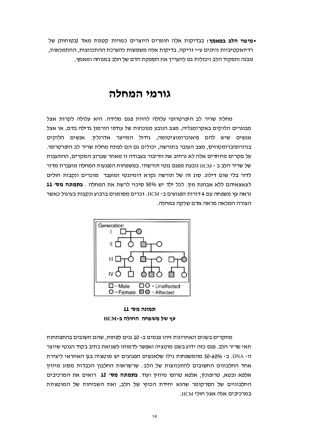•מיפוי הלב במאמץ: בבדיקות אלה חומרים היוצרים כמויות קטנות מאד (בטוחות) של רדיואקטיביות ניתנים ע״י זריקה. בדיקות אלה משמשות להערכת ההתכווצות, ההתמלאות, מבנה ותפקוד הלב ויכולות גם להעריך את הספקת הדם של הלב במנוחה ומאמץ.

### גורמי המחלה

מחלת שריר לב היפרטרופי עלולה להיות פגם מלידה. היא עלולה לקרות אצל מבוגרים הלוקים באקרומגליה, מצב הנובע מנוכחות של עודפי הורמון גדילה בדם, או אצל אנשים שיש להם פיאוכרומוציטומה, גידול המייצר אדרנלין. אנשים הלוקים בניורופיברומטוזיס, מצב העובר בתורשה, יכולים גם הם לפתח מחלת שריר לב היפרטרופי. על מקרים מיוחדים אלה לא נרחיב את הדיבור בעבודה זו מאחר שברוב המקרים, ההתעבות של שריר הלב ב - HCM נובעת מפגם גנטי תורשתי. במשפחות הנפגעות המחלה מועברת מדור לדור בלי שום דילוג. סוג זה של תורשה נקרא דומיננטי ומועבר מזכרים ונקבות חולים לצאצאיהם ללא אבחנת מין. לכל ילד יש 50% סיכוי לרשת את המחלה . בתמונה מס׳ 11 נראה עץ משפחה עם 4 דורות הפגועים ב- HCM. זכרים מסומנים ברבוע ונקבות בעיגול כאשר הצורה המלאה מראה אדם שלקה במחלה.



תמונה מס׳ 11 עץ של משפחה החולה ב-HCM

מחקרים בשנים האחרונות זיהו פגמים ב- 10 גנים לפחות, שהם חשובים בהתפתחות תאי שריר הלב. פגם כזה ידוע בשם מוטציה ואפשר לדמותו לשגיאת כתיב בקוד הגנטי שיוצר ה- DNA. ב- 50-60% מהמשפחות גילו שלאנשים הפגועים יש מוטציה בגן האחראי ליצירת אחד החלבונים החשובים להתכווצות של הלב: שרשראות החלבון הכבדות מסוג מיוזין אלפא ובטא, טרופונין, אלפא טרופו מיוזין ועוד. **בתמונה מס' 12** רואים את המרכיבים החלבוניים של הסרקומר שהוא יחידת הכווץ של הלב, ואת השכיחות של המוטציות במרכיבים אלה אצל חולי HCM.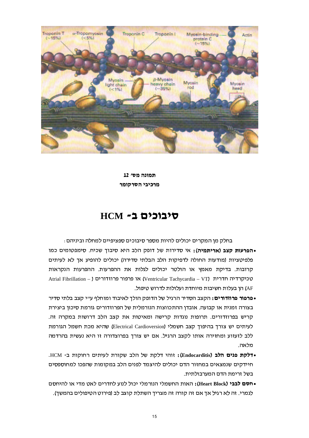

תמונה מס׳ 12 מרכיבי הסרקומר

#### $HCM$  -בוכים כ

בחלק מן המקרים יכולים להיות מספר סיבוכים ספציפיים למחלה וביניהם :

- •הפרעות קצב (אריתמיה): אי סדירות של דופק הלב היא סיבוך שכיח. סימפטומים כמו פלפיטציות (מודעות החולה לדפיקות הלב הבלתי סדירה) יכולים להופיע אך לא לעיתים קרובות. בדיקת מאמץ או הולטר יכולים לגלות את ההפרעות. ההפרעות הנקראות Atrial Fibrillation – ) או פרפור פרוזדורים (Ventricular Tachycardia – VT) טכיקרדיה חדרית AF) הן בעלות חשיבות מיוחדת ועלולות לדרוש טיפול.
- פרפור פרוזדורים: הקצב הסדיר הרגיל של הדופק הולך לאיבוד ומוחלף ע״י קצב בלתי סדיר בצורה זמנית או קבועה. אובדן ההתכווצות הנורמלית של הפרוזדורים גורמת סיכון ביצירת קריש בפרוזדורים. תרופות נוגדות קרישה ומאיטות את קצב הלב דרושות במקרה זה. לעיתים יש צורך בהיפוך קצב חשמלי (Electrical Cardioversion) שהיא מכת חשמל הגורמת ללב לזעזוע ומחזירה אותו לקצב הרגיל. אם יש צורך בפרוצדורה זו היא נעשית בהרדמה מלאה
- •דלקת פנים הלב (Endocarditis): זוהי דלקת של הלב שקורת לעיתים רחוקות ב- HCM. חיידקים שנמצאים במחזור הדם יכולים להיצמד לפנים הלב במקומות שהפכו למחוספסים בשל זרימת הדם המערבולתית.
- •חסם לבבי (Heart Block): האות החשמלי הנורמלי יכול לנוע לחדרים לאט מדי או להיחסם לגמרי. זה לא רגיל אך אם זה קורה זה מצריך השתלת קוצב לב (פירוט הטיפולים בהמשך).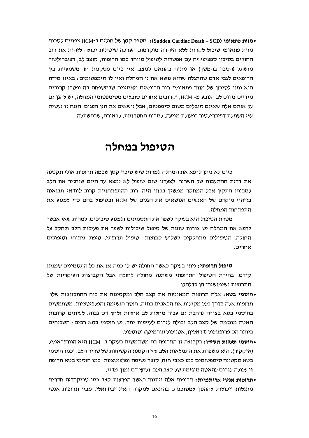•מוות פתאומי (Sudden Cardiac Death – SCD): מספר קטן של חולים ב-HCM צפויים לסכנת מוות פתאומי שיכול לקרות ללא הזהרה מוקדמת. הערכה שיטתית יכולה לזהות את רוב החולים בסיכון ספציפי זה עם אפשרות לטיפול מיוחד כמו תרופות, קוצב לב, דפיברילטור מושתל (הסבר בהמשך) או ניתוח בהתאם למצב. אין כיום מסקנות חד משמעיות בין הרופאים לגבי אדם שהתגלה שהוא נושא את גן המחלה ואין לו סימפטומים: באיזו מידה הוא נתון לסיכון של מוות פתאומי: רוב הרופאים מאמינים שבמשפחה בה נפטרו קרובים מידיים מדום לב הנובע מ- HCM, וקרובים אחרים סובלים מסימפטומי המחלה, יש להגו גם על אותם אלה שאינם סובלים משום סימפטום. אבל נושאים את הגו הפגום. הגנה זו נעשית ע״י השתלת דפיברילטור כפעולת מניעה, למרות החסרונות, לכאורה, שבהשתלה.

#### הטיפול במחלה

כיום לא ניתו לרפא את המחלה למרות שיש סיכוי קטו שכמה תרופות אולי תקטנה את דרגת ההתעבות של השריר. לצערנו שום טיפול לא נמצא עד היום שיחזיר את הלב למבנהו התקין אבל המחקר ממשיד בכוון הזה. רוב ההתפתחויות קרוב לוודאי תבואנה בזיהוי מוקדם של האנשים הנושאים את הגנים של HCM ובטיפול בהם כדי למנוע את התפתחות המחלה.

מטרת הטיפול היא בעיקר לשפר את התסמינים ולמנוע סיבוכים. למרות שאי אפשר לרפא את המחלה יש צורות שונות של טיפול שיכולות לשפר את פעילות הלב ולהקל על החולה. הטיפולים מתחלקים לשלוש קבוצות: טיפול תרופתי, טיפול ניתוחי וטיפולים אחרים.

**טיפול תרופתי:** ניתן בעיקר כאשר החולה יש לו כמה או את כל התסמינים שמנינו קודם. בחירת הטיפול התרופתי משתנה מחולה לחולה אבל הקבוצות העיקריות של התרופות ושימושיהן הן כדלהלן :

- •חוסמי בטא: אלה תרופות המאיטות את קצב הלב ומקטינות את כוח ההתכווצות שלו. תרופות אלה בדרד כלל מקילות את הכאבים בחזה, חוסר הנשימה והפלפיטציות. משתמשים בחוסמי בטא בצורה נרחבת גם עבור מחלות לב אחרות ולחץ דם גבוה. לעיתים קרובות האטה מוגזמת של קצב הלב יכולה לגרום לעייפות יתר. יש חוסמי בטא רבים: השכיחים ביותר הם פרופנולול (דראלין), אטנולול (נורמיטן) וסוטלול.
- •חוסמי תעלות הסידן: בקבוצה זו התרופה בה משתמשים בעיקר ב- HCM היא הוורפראמיל (איקקור). היא משפרת את התמלאות הלב ע״י הקטנת הקשיחות של שריר הלב, וכמו חוסמי בטא מקטינה סימפטומים כמו כאבי חזה, קוצר נשימה ופלפיטציות. כמו חוסמי בטא תרופה זו עלולה לגרום להאטה מוגזמת של קצב הלב ולחץ דם נמוך מדיי.
- •תרופות אנטי אריתמיות: תרופות אלה ניתנות כאשר הפרעות קצב כמו טכיקרדיה חדרית מתגלות ויכולות לההפך למסוכנות, בהתאם למקרה האינדיבידואלי. מבין תרופות אנטי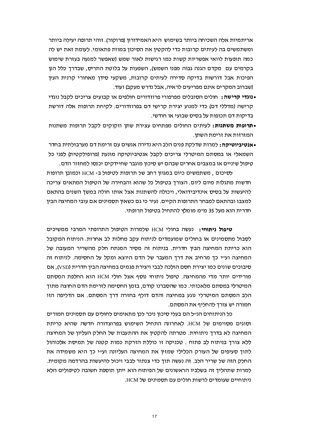אריתמיות אלה השכיחה ביותר בשימוש. היא האמידורון (פרוקור). זוהי תרופה יעילה ביותר ומשתמשים בה לעיתים קרובות כדי להקטין את הסיכון במוות פתאומי. לעומת זאת יש לה כמה תופעות לוואי אפשריות קשות כמו רגישות לאור שמש (שאפשר למנעה בעזרת שימוש בקרמים עם מקדם הגנה גבוה מפני השמש), השפעות על בלוטת התריס, שבדרך כלל הנן הפיכות אבל דורשות בדיקה סדירה לעיתים קרובות, משקעי סידן מאחורי קרנית העין (שברוב המקרים אינם מפריעים לראיה, אבל נדרש מעקב) ועוד.

- נוגדי קרישה: חולים הסובלים מפרפורי פרוזדורים חולפים או קבועים צריכים לקבל נוגדי קרישה (מדללי דם) כדי למנוע יצירת קרישי דם בפרוזדורים. לקיחת תרופות אלה דורשת בדיקות דם תכופות על בסיס שבועי או חודשי.
- •תרופות משתנות: לעיתים החולים מפתחים עצירת שתו וזקוקים לקבל תרופות משתנות המזרזות את זרימת השתו.
- •אנטיביוטיקה: למרות שדלקת פנים הלב היא נדירה אנשים עם זרימת דם מערבולתית בחדר השמאלי או במסתם המיטרלי צריכים לקבל אנטיביוטיקה מונעת (פרופילקטית) לפני כל טיפול שיניים או במצבים אחרים שבהם יש סיכון מוגבר שחיידקים יכנסו למחזור הדם.

לסיכום, משתמשים כיום במגוון רחב של תרופות לטיפול ב- HCM וכמובן תרופות חדשות מתגלות מיום ליום. הצורד בטיפול כל שהוא והבחירה של הטיפול המתאים צריכה להיעשות על בסיס אינדיבידואלי. ויכולה להשתנות אצל אותו חולה במשד השנים בהתאם למצבו ובהתאם למבחר התרופות הקיים. נעיר כי גם כשאין תסמינים אם עובי המחיצה הבין חדרית הוא מעל 35 מ״מ מומלץ להתחיל בטיפול תרופתי.

**טיפול ניתוחי:** נעשה בחולי HCM שלמרות הטיפול התרופתי המרבי ממשיכים לסבול מתסמינים או בחולים שמועמדים לניתוח עקב מחלות לב אחרות. הניתוח המקובל הוא כריתת המחיצה הבין חדרית. בניתוח זה מסיר המנתח חלק מהשריר המעובה של המחיצה ועייי כך מרחיב את דרך המעבר של הדם היוצא ומקל על החסימה. לניתוח זה סיבוכים שונים כמו יצירת חסם הולכה לבבי ויצירת פגמים במחיצה הבין חדרית (VSD), אם מורידים יותר מדי מהמחיצה. טיפול ניתוחי נוסף אצל חולי HCM הוא החלפת המסתם המיטרלי במסתם מלאכותי. כמו שהסברנו קודם, בזמן החסימה לזרימת הדם החוצה מתוך הלב המסתם המיטרלי נוגע במחיצה והדם דולף בחזרה דרך המסתם. אם הדליפה הזו חמורה יש צורד להחליף את המסתם.

כל הניתוחים הנ״ל הם בעלי סיכון ניכר לכן מתאימים לחולים עם תסמינים חמורים וסוגים מסוימים של HCM. לאחרונה התחיל השימוש בפרוצדורה חדשה שהיא כריתת המחיצה לא בדרך ניתוחית. מטרתה להקטין את ההתעבות של החלק העליון של המחיצה ללא צורך בניתוח לב פתוח . טכניקה זו כוללת הזרקת כמות קטנה של תמיסת אלכוהול לתוך סעיפים של העורק הכלילי שמזין את המחיצה העליונה וע״י כך היא משמידה את החלק הזה של שריר הלב. זה נעשה תוך כדי צנתור לבבי ויכול להיעשות בהרדמה מקומית. למרות שתהליך זה בשלביו הראשונים של הפיתוח הוא ייתן תוספת חשובה לטיפולים הלא ניתוחיים שעומדים לרשות חולים עם תסמינים של HCM.

17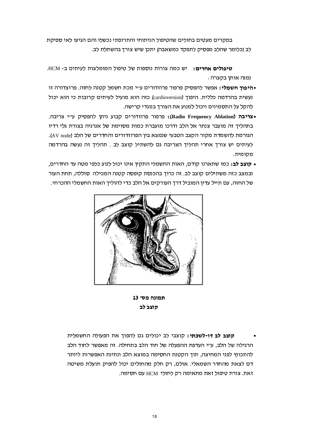במקרים מעטים בחולים שהטיפול הניתוחי והתרופתי נכשלו והם הגיעו לאי ספיקת לב (כלומר שהלב מפסיק לתפקד כמשאבה) יתכן שיש צורך בהשתלת לב.

**טיפולים אחרים:** יש כמה צורות נוספות של טיפול המומלצות לעיתים ב- HCM. נמנה אותן בקצרה :

- היפוך חשמלי: אפשר להפסיק פרפור פרוזדורים ע״י מכת חשמל קטנה לחזה. פרוצדורה זו נעשית בהרדמה כללית. היפוך (cardioversion) כזה הוא מועיל לעיתים קרובות כי הוא יכול להקל על התסמינים ויכול למנוע את הצורך בנוגדי קרישה.
- •צריבה (Radio Frequency Ablation): פרפור פרוזדורים קבוע ניתן להפסיק ע״י צריבה. בתהליך זה מועבר צנתר אל הלב ודרכו מועברת כמות מסוימת של אנרגיה בצורת גלי רדיו הגורמת להשמדת מקור הקצב הטבעי שנמצא בין הפרוזדורים והחדרים של הלב (AV node). לעיתים יש צורך אחרי תהליך הצריבה גם להשתיל קוצב לב . תהליך זה נעשה בהרדמה מקומית.
- **קוצב לב:** כמו שתארנו קודם, האות החשמלי התקין אינו יכול לנוע כלפי מטה עד החדרים, ובמצב כזה משתילים קוצב לב. זה כרוך בהכנסת קופסה קטנה המכילה סוללה, תחת העור של החזה, עם תייל עדין המוביל דרך העורקים אל הלב כדי להוליך האות החשמלי ההכרחי.



תמונה מס׳ 13 סוצב לב

**קוצב לב דו-לשכתי:** קוצבי לב יכולים גם להפוך את הפעולה החשמלית הרגילה של הלב, עייי העדפת ההפעלה של חוד הלב בתחילה. זה מאפשר לחוד הלב להתכווץ לפני המחיצה, תוך הקטנת החסימה במוצא הלב ונתינת האפשרות ליותר דם לצאת מהחדר השמאלי. אולם, רק חלק מהחולים יכול להפיק תועלת משיטה זאת. צורת טיפול זאת מתאימה רק לחולי HCM עם חסימה.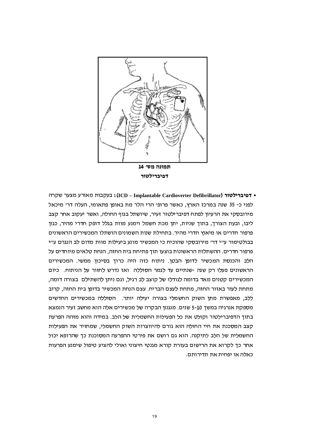

• דפיברות מאורע מצער שקרה (ICD – Implantable Cardioverter Defibrillator): בעקבות מאורע מצער שקרה לפני כ- 35 שנה במרכז הארץ, כאשר פרופי הרי הלר מת באופן פתאומי, העלה דרי מיכאל מירובסקי את הרעיון לפתח דפיברילטור זעיר, שיושתל בגוף החולה, ואשר יעקוב אחר קצב ליבו, ובעת הצורך, בתוך שניות, יתן מכת חשמל וימנע מוות בגלל דופק חדרי מהיר, כגון פרפור חדרים או מיאוץ חדרי מהיר. בתחילת שנות השמונים הושתלו המכשירים הראשונים בבולטימור עייי דרי מירובסקי שהוכיח כי המכשיר מונע ביעילות מוות מדום לב הנגרם עייי פרפור חדרים. ההשתלות הראשונות בוצעו תוך פתיחת בית החזה, הנחת טלאים מיוחדים על הלב והכנסת המכשיר לדופן הבטן. ניתוח כזה היה כרוך בסיכון ממשי. המכשירים הראשונים פעלו רק שנה -שנתיים עד לגמר הסוללה ואז נדרש לחזור על הניתוח. כיום המכשירים קטנים מאד בדומה לגודלו של קוצב לב רגיל, וגם ניתן להשתילם בצורה דומה, מתחת לעור באזור החזה, מתחת לעצם הבריח. עצם הנחת המכשיר בדופן בית החזה, קרוב ללב, מאפשרת מתן השוק החשמלי בצורה יעילה יותר. הסוללה במכשירים החדשים מספקת אנרגיה במשך 5-10 שנים. מנגנון הבקרה של מכשירים אלה הוא מחשב זעיר הנמצא בתוך הדפיברילטור וקולט את כל הפעילות החשמלית של הלב. במידה והוא מזהה הפרעת קצב המסכנת את חיי החולה הוא גורם להיווצרות השוק החשמלי, שמחזיר את הפעילות החשמלית של הלב לתיקנה. הוא גם רושם את פירטי ההפרעה המסוכנת כך שהרופא יכול אחר כך לקרוא את הרישום בעזרת קורא מגנטי חיצוני ואולי להציע טיפול שימנע הפרעות כאלה או יפחית את תדירותם.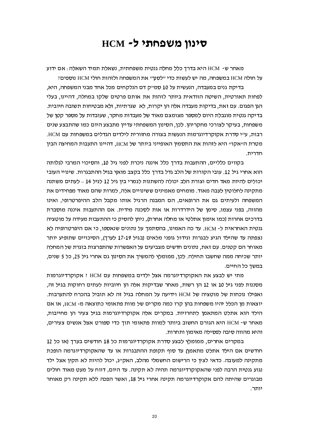#### סינון משפחתי ל- HCM

מאחר ש- HCM היא בדרד כלל מחלה גנטית משפחתית. נשאלת תמיד השאלה: אם ידוע על חולה HCM במשפחה. מה יש לעשות כדי ״לסנו״ את המשפחה ולזהות חולי HCM נוספים *ו* 

בדיקת גנים במעבדה, הנעשית על 10 סמ״ק דם הנלקחים מכל אחד מבני המשפחה, היא. לפחות תאורטית. השיטה הוודאית ביותר לזהות את אותם פרטים שלקו במחלה. דהיינו. בעלי הגן הפגום. עם זאת, בדיקות מעבדה אלה הן יקרות, לא שגרתיות, ולא מבטיחות תשובה חיובית. בדיקה גנטית מוגבלת היום למספר מצומצם מאוד של מעבדות מחקר. שעובדות על מספר קטו של משפחות, בעיקר לצורכי מחקריהן. לכן, הסינון המשפחתי עדיין מתבצע היום כמו שהתבצע שנים רבות. ע״י סדרת אקוקרדיוגרמות הנעשות בצורה מחזורית לילדים הגדלים במשפחות עם HCM. מטרת ה״אקו״ היא לזהות את התסמין האופייני ביותר של HCM, דהיינו התעבות המחיצה הבין חדרית.

בקווים כלליים, ההתעבות בדרד כלל איננה ניכרת לפני גיל 10, והסיכוי המרבי לגלותה הוא אחרי גיל 12. עובי הקורות של הלב גדל בדרד כלל בקצב מואץ בגיל ההתבגרות. שינויי העובי יכולים להיות מאד חדים וצורת הלב יכולה להשתנות לגמרי בין גיל 12 לגיל 14 – לעתים משתנה מתקינה לחלוטיו לעבה מאוד. מומחים מאמינים ששינויים אלה. למרות שהם מאוד מפחידים את המשפחה ולעיתים גם את הרופאים, הם המבנה הרגיל אותו מקבל הלב ההיפרטרופי, ואינו מהווה, בפני עצמו, סימן של הידרדרות או אות לסכנה מידית. אם ההתעבות איננה מוסברת בדרכים אחרות (כמו אימון אתלטי או מחלה אחרת), ניתן להסיק כי ההתעבות מעידה על מוטציה גנטית האחראית ל- HCM. עד כה האמינו, בהסתמד על נתונים שנאספו, כי אם היפרטרופיה לא נצפתה עד שהילד הגיע לבגרות וגידול גופני מלאים (בגיל 17-19 לערד), הסיכויים שתופיע יותר מאוחר הם קטנים. עם זאת, נתונים חדשים מצביעים על האפשרות שהתפרצות בוגרת של המחלה יותר שכיחה ממה שחשבו תחילה. לכו, ממומלץ להמשיד את הסינון גם אחרי גיל 25. כל 5 שנים. במשד כל החיים.

מתי יש לבצע את האקוקרדיוגרמה אצל ילדים במשפחות עם HCM ? אקוקרדיוגרמות מסננות לפני גיל 10 או 12 הן רשות, מאחר שבדיקות אלה הן חיוביות לעתים רחוקות בגיל זה, ואפילו נוכחות של מוטציה של HCM וידיעה על המחלה בגיל זה לא תוביל בהכרח להתערבות. יוצאות מן הכלל יהיו משפחות בהן קרו כמה מקרים של מוות פתאומי כתוצאה מ- HCM, או אם הילד הוא אתלט המתאמן לתחרויות. במקרים אלה אקוקרדיוגרמות בגיל צעיר הן מחייבות, מאחר ש- HCM היא הגורם החשוב ביותר למוות פתאומי תוך כדי ספורט אצל אנשים צעירים, והיא מהווה סיבה לפסילה מאימון ותחרות.

במקרים אחרים, ממומלץ לבצע סדרת אקוקרדיוגרמות כל 18 חודשים בערך (או כל 12 חודשים אם הילד אתלט מתאמו) עד סוף תקופת ההתבגרות או עד שהאקוקרדיוגרמה הופכת מתקינה למעובה. כדאי לצין כי הרישום החשמלי מהלב, האקייג, יכול להיות לא תקין אצל ילד נגוע גנטית הרבה לפני שהאקוקרדיוגרמה תהיה לא תקינה. עד היום, דווח על מעט מאוד חולים מבוגרים שהיתה להם אקוקרדיוגרמה תקינה אחרי גיל 18, ואשר הפכה ללא תקינה רק מאוחר יותר.

20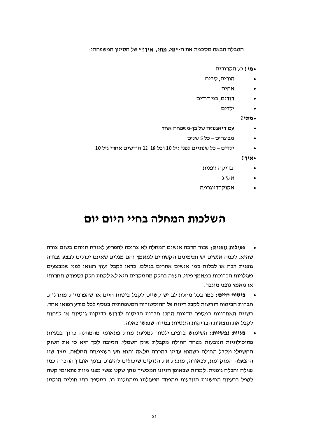הטבלה הבאה מסכמת את ה-יי**מי, מתי, איך?'***י* **של הסינון המשפחתי** :

• מי? כל הקרובים :

- הורים, סבים  $\bullet$ 
	- אחים
- דודים, בני דודים
	- ילדים  $\bullet$

 $?$  מתי

- עם דיאגנוזה של בן-משפחה אחד
	- מבוגרים כל 5 שנים  $\bullet$
- ילדים כל שנתיים לפני גיל 10 וכל 18-18 חודשים אחרי גיל 10  $\bullet$

 $?7'N$ 

- בדיקה גופנית  $\bullet$ 
	- אקייג
- אקוקרדיוגרמה.

### השלכות המחלה בחיי היום יום

- **פעילות גופנית:** עבור הרבה אנשים המחלה לא צריכה להפריע לאורח חייהם בשום צורה שהיא. לכמה אנשים יש תסמינים הקשורים למאמץ והם מגלים שאינם יכולים לבצע עבודה גופנית רבה או לבלות כמו אנשים אחרים בגילם. כדאי לקבל יעוץ רפואי לפני שמבצעים פעילויות הכרוכות במאמץ פיזי. העצה בחלק מהמקרים היא לא לקחת חלק בספורט תחרותי או מאמץ גופני מוגבר.
- ביטוח חיים: כמו בכל מחלת לב יש קשיים לקבל ביטוח חיים או שהפרמיות מוגדלות.  $\bullet$ חברות הביטוח דורשות לקבל דיווח על ההיסטוריה המשפחתית בנוסף לכל מידע רפואי אחר. בשנים האחרונות במספר מדינות החלו חברות הביטוח לדרוש בדיקות גנטיות או לפחות לקבל את תוצאות הבדיקות הגנטיות במידה שנעשו כאלה.
- בעיות נפשיות: השימוש בדפיברילטור למניעת מוות פתאומי מהמחלה כרוך בבעיות  $\bullet$ פסיכולוגיות הנובעות מפחד החולה מקבלת שוק חשמלי. הסיבה לכך היא כי את השוק החשמלי מקבל החולה כשהוא עדיין בהכרה מלאה והוא חש בעוצמתה המלאה. מצד שני ההפעלה המוקדמת, לכאורה, מונעת את הנזקים שיכולים להיגרם בזמן אובדן ההכרה כמו נפילה וחבלה גופנית. למרות שבאופן הגיוני המכשיר נותן שקט נפשי מפני מוות פתאומי קשה לטפל בבעיות הנפשיות הנובעות מהפחד מפעולתו ומהתלות בו. במספר בתי חולים הוקמו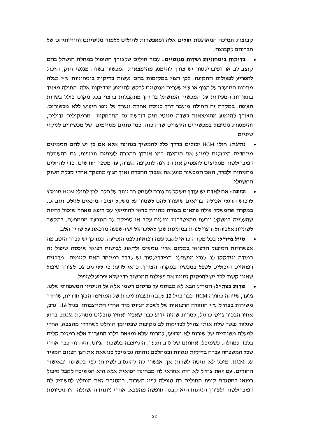קבוצות תמיכה המארגנות חולים אלה ומאפשרות לחולים ללמוד מניסיונם וחוויותיהם של חבריהם לקבוצה.

- בדיקות ביטחוניות ושדות מגנטיים: עבור חולים שלצורך הטיפול במחלה הושתל בהם קוצב לב או דפיברילטור יש צורך להימנע מהימצאות המכשיר בשדה מגנטי חזק, היכול להפריע לפעולתו התקינה. לכן רצוי במקומות בהם נעשות בדיקות ביטחוניות ע״י מגלה מתכות המועבר על הגוף או ע״י שערים מגנטיים לבקש להימנע מבדיקות אלה. החולה מצויד בתעודות המעידות על המכשיר המושתל בו והן מתקבלות ברצון בכל מקום כולל בשדות תעופה. במקרה זה החולה מועבר דרך כניסה אחרת ונערך על גופו חיפוש ללא מכשירים. הצורך להימנע מהימצאות בשדה מגנטי חזק דורשת גם התרחקות -מרמקולים גדולים, והימנעות מטיפול במכשירים היוצרים שדה כזה, כמו סוגים מסוימים של מכשירים לניקוי שיניים.
- נהיגה: חולי HCM יכולים בדרך כלל להמשיך בנהיגה אלא אם כן יש להם תסמינים מיוחדים היכולים למנוע את הנהיגה כמו אובדו ההכרה לעיתים תכופות. גם בהשתלת דפיברילטור ממליצים להפסיק את הנהיגה לתקופה קצרה, עד מספר חודשים, כדי להחלים מהניתוח ולברר. האם המכשיר מונע את אובדו ההכרה ואיד הגוף מתפקד אחרי קבלת השוק החשמלי.
- תזונה: אם לאדם יש עודף משקל זה גורם לעומס רב יותר על הלב. לכן לחולי HCM מומלץ  $\bullet$ לרכוש הרגלי אכילה בריאים שיעזרו להם לשמור על משקל יציב המתאים לגילם וגובהם. במקרה שהמשקל עולה פתאום בצורה מהירה כדאי להתייעץ עם רופא מאחר שיכול להיות שהעלייה במשקל נובעת מהצטברות נוזלים עקב אי ספיקת לב הנובעת מהמחלה. בהקשר לשתיית אלכוהול, רצוי לנהוג במתינות שכן לאלכוהול יש השפעה מדכאת על שריר הלב.
- **טיול בחו״ל:** בכל מקרה כדאי לקבל עצה רפואית לפני הנסיעה. כמו כן יש לברר היטב מה אפשרויות הטיפול הרפואי במקום אליו נוסעים ולדאוג לביטוח רפואי שיכסה טיפול זה במידה ויזדקקו לו. לגבי מושתלי דפיברילטור יש לברר במיוחד האם קיימים מרכזים רפואיים היכולים לטפל במכשיר במקרה הצורך. כדאי לדעת כי לעיתים גם לצורך טיפול שאינו קשור ללב יש להפסיק זמנית את פעילות המכשיר כדי שלא יפריע לטיפול.
- **שרות בצה״ל:** המידע הבא לא מבוסס על פרסום רשמי אלא על הניסיון המשפחתי שלנו. גלעד, שזוהה כחולה HCM כבר בגיל 10 עקב התעבות ניכרת של המחיצה הבין חדרית, שוחרר משירות בצהייל עייי הוועדה הרפואית של לשכת הגיוס מיד אחרי התייצבותו בגיל 16. נדב, אחיו הבכור גויס כרגיל, למרות שהיה ידוע כבר שאביו ואחיו סובלים ממחלת HCM. ברגע שגלעד נפטר שלח אותו צה״ל לבדיקות לב מקיפות שבסיומן הוחלט לשחררו מהצבא, אחרי למעלה משנתיים של שירות לא מבצעי, למרות שלא נמצאה בלבו התעבות אלא רמזים קלים בלבד למחלה. כשמיכל, אחותם של נדב וגלעד, התייצבה בלשכת הגיוס, היה זה כבר אחרי שכל המשפחה עברה בדיקות גנטיות ובמהלכם זוהתה גם מיכל כנושאת את הגן הפגום המעיד על HCM. מיכל לא גויסה לשרות אך אפשרו לה להתנדב לשירות לפי בקשתה ובאישור ההורים. עם זאת צה״ל לא היה אחראי לה מבחינה רפואית אלא היא המשיכה לקבל טיפול רפואי במסגרת קופת החולים בה טופלה לפני השרות. במסגרת זאת הוחלט להשתיל לה דפיברילטור ולצורך הניתוח היא קבלה חופשה מהצבא. אחרי ניתוח ההשתלה היו ניסיונות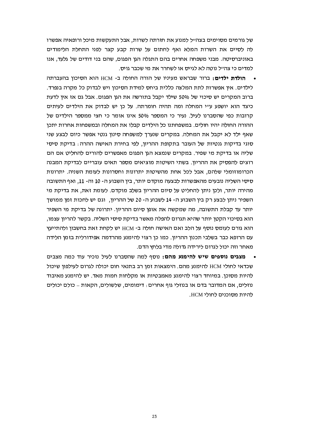של גורמים מסוימים בצה״ל למנוע את חזרתה לשרות, אבל התעקשות מיכל ורופאיה אפשרו לה לסיים את השרות המלא ואף לחתום על שרות קבע קצר לפני התחלת הלימודים באוניברסיטה. מבני משפחה אחרים בהם התגלה הגן הפגום, שהם בני דודים של גלעד, אנו למדים כי צהייל נוטה לא לגייס או לשחרר את מי שכבר גויס.

- ה**ולדת ילדים:** ברור שבראש מעיניו של הורה החולה ב- HCM הוא הסיכוו בהעברתה לילדים. אין אפשרות לתת המלצה כללית ביחס למידת הסיכון ויש לבדוק כל מקרה בנפרד. ברוב המקרים יש סיכוי של 50% שילד יקבל בתורשה את הגן הפגום. אבל גם אז אין לדעת כיצד הוא יושפע ע״י המחלה ומה תהיה חומרתה. על כו יש לבדוק את הילדים לעיתים קרובות כפי שהסברנו לעיל. נעיר כי המספר 50% אינו אומר כי חצי ממספר הילדים של ההורה החולה יהיו חולים. במשפחתנו כל הילדים קבלו את המחלה ובמשפחות אחרות יתכן שאף ילד לא יקבל את המחלה. במקרים שנערד למשפחה סינוו גנטי אפשר כיום לבצע שני סוגי בדיקות גנטיות של העובר בתקופת ההריון, לפי בחירת האישה ההרה: בדיקת סיסי שליה או בדיקת מי שפיר. במקרים שנמצא הגו הפגום מאפשרים להורים להחליט אם הם רוצים להפסיק את ההריון. בשתי השיטות מוציאים מספר תאים עובריים לבדיקת המבנה הכרומוזומלי שלהם, אבל לכל אחת מהשיטות יתרונות וחסרונות לעומת השניה. יתרונות סיסי השליה נובעים מהאפשרות לבצעה מוקדם יותר, בין השבוע ה- 10 וה- 11, ואף התשובה מהירה יותר, ולכן ניתן להחליט על סיום ההריון בשלב מוקדם. לעומת זאת, את בדיקת מי השפיר ניתן לבצע רק בין השבוע ה- 14 לשבוע ה- 20 של ההריון, וגם יש לחכות זמן ממושך יותר עד קבלת התשובה, מה שמקשה את אופן סיום ההריון. יתרונה של בדיקת מי השפיר הוא בסיכוי הקטן יותר שהיא תגרום להפלה מאשר בדיקת סיסי השליה. בקשר להריון עצמו, הוא גורם לעומס נוסף על הלב ואם האישה חולה ב- HCM יש לקחת זאת בחשבון ולהתייעץ עם הרופא כבר בשלבי תכנון ההריון. כמו כן רצוי להימנע מהרדמה אפידורלית בזמו הלידה מאחר וזה יכול לגרום לירידה גדולה מדי בלחץ הדם.
- מצבים נוספים שיש להימנע מהם: נוסף למה שהסברנו לעיל נזכיר עוד כמה מצבים שכדאי לחולי HCM להימנע מהם. הימצאות זמן רב בתנאי חום יכולה לגרום לעילפון שיכול להיות מסוכן. במיוחד רצוי להימנע מאמבטיות או מקלחות חמות מאד. יש להימנע מאיבוד נוזלים, אם המדובר בדם או בנוזלי גוף אחרים: דימומים, שלשולים, הקאות – כולם יכולים להיות מסוכנים לחולי HCM.

23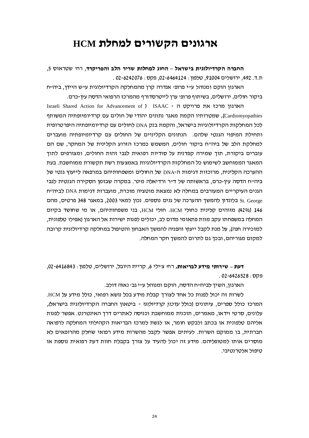### ארגונים הקשורים למחלת HCM

החברה הקרדיולוגית בישראל – החוג למחלות שריר הלב והפריקרד. רחי שטראוס 5. ת.ד. 492, ירושלים 91004, טלפון: 02-6464124, פקס: 02-6242076.

הארגון הוקם ומנוהל ע״י פרופ׳ אנדרה קרן מהמחלקה הקרדיולוגית ע״ש היידן, ביה״ח ביקור חולים, ירושלים, בשיתוף פרופ׳ ערן לייטרסדורף מהמרכז הרפואי הדסה עין-כרם.

Israeli Shared Action for Advancement of ) ISAAC - הארגון מרכז את פרויקט ה Cardiomyopathies), שמטרותיו הקמת מאגר נתונים יהודי של חולים עם קרדיומיופתיה המשותף לכל המחלקות הקרדיולוגיות בישראל, והקמת בנק DNA לחולים עם קרדיומיופתיה היפרטרופית ותחילת המיפוי הגנטי שלהם. -הנתונים הקליניים של החולים עם קרדיומיופתיה מועברים למחלקת הלב של ביה״ח ביקור חולים, המשמש כמרכז הזרוע הקלינית של המחקר, שם הם עוברים ביקורת. תוד שמירה קפדנית על סודיות רפואית לגבי זהות החולים. ומצורפים לתוד המאגר הממוחשב לשימוש כל המחלקות הקרדיולוגיות באמצעות רשת תקשורת ממוחשבת. בעת ההערכה הקלינית, מרוכזות דגימות ה-DNA של החולים ומשפחותיהם במרפאה לייעוץ גנטי של ביה״ח הדסה עין-כרם, בראשותה של ד״ר ורדיאלה מינר. במקרה שבזמן הסקירה הגנטית לגבי הגנים העיקריים המעורבים במחלה לא נמצאת מוטציה מוכרת. מועברות דגימות DNA לביה״ח St. George בלונדון להמשך ההערכה של גנים נוספים. נכון למאי 2003, במאגר 348 פרטים, מהם 146 (42%) מזוהים קלינית כחולי HCM. חולי HCM, בני משפחותיהם, או מי שחושד בקיום המחלה במשפחתו עקב מוות פתאומי מדום לב, יכולים לפנות ישירות אל הארגון (אפילו טלפונית, למזכירה חנה), על מנת לקבל ייעוץ והפניה להמשך האבחון והטיפול במחלקה קרדיולוגית קרובה למקום מגוריהם, ובכך גם לתרום להמשך חקר המחלה.

דעת - שירותי מידע לבריאות, רחי ציילי 6, קריית היובל, ירושלים, טלפון: 6416843-02-64. פקס: 02-6426528.

הארגון, השיך לביהייח הדסה, הוקם ומנוהל עייי גבי נאוה דולב.

לשרות זה יכול לפנות כל אחד לצורך קבלת מידע בכל נושא רפואי, כולל מידע על HCM. המרכז כולל ספרים, עיתונים (כולל *עדכון קרדיולוגי -* ביטאון החברה הקרדיולוגית בישראל, עלונים, סרטי וידאו, מאמרים, תוכנית ממוחשבת וכניסה לאתרים דרך האינטרנט. אפשר לפנות אליהם טלפונית או בכתב ולבקש חומר, או לגשת למרכז הבריאות הקהילתי המחלקה לרפואה חברתית, בו ממוקם השרות. לעיתים אפשר לקבל מהשרות מידע רפואי שחלק מהרופאים לא מוסרים אותו למטופליהם. מידע זה יכול להעיד על צורך בקבלת חוות דעת רפואית נוספת או טיפול אלטרנטיבי.

24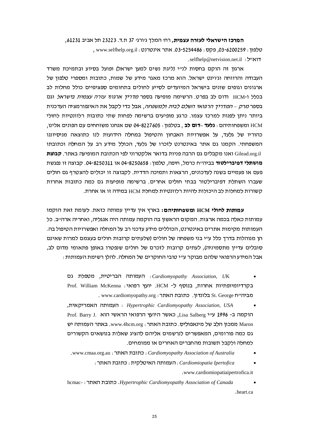#### המרכז הישראלי לעזרה עצמית, רחי המלך גיורגי 37 ת.ד. 23223 תל אביב 61231, , www.selfhelp.org.il : 33-5254486 אתר אינטרנט. www.selfhelp.org.il . selfhelp@netvision.net.il: ידואייל

ארגון זה הוקם בחסות לנייי (ליגת נשים למען ישראל) ופועל בסיוע ובתמיכת משרד העבודה והרווחה וג׳וינט ישראל. הוא מרכז מאגר מידע של שמות, כתובות ומספרי טלפון של ארגונים וגופים שונים בישראל המיועדים לסייע לחולים בתחומים ספציפיים כולל מחלות לב בכלל ו-HCM ודום לב בפרט. הרשימה מופיעה בספר *מדריך ארגוני עזרה עצמית בישראל* וגם בספר *מרק –המדריד הרפואי השלם לבית ולמשפחה*. אבל כדי לקבל את האינפורמציה העדכנית ביותר ניתו לפנות למרכז עצמו. כרגע מופיעים ברשימה לפחות שתי כתובות רלוונטיות לחולי HCM ומשפחותיהם : **גלעד –דום לב** . בטלפון : 04-8227605 ישם אנחנו משוחחים עם הפונים אלינו. כהוריו של גלעד. על אפשרויות האבחוו והטיפול במחלה הידועות לנו כתוצאה מניסיוננו המשפחתי. הקמנו גם אתר באינטרנט לזכרו של גלעד, הכולל מידע רב על המחלה וכתובתו Gilead.org.il ואנו מקבלים גם הרבה פניות בדואר אלקטרוני לפי הכתובת המופיעה באתר. **קבוצת מושתלי דפיברילטור** בביה"ח כרמל. חיפה. טלפון: 04-8250658-11 או 04-8250311. קבוצה זו נפגשת פעם או פעמיים בשנה לעדכונים, הרצאות ותמיכה הדדית. לקבוצה זו יכולים להצטרף גם חולים שעברו השתלת דפיברילטור בבתי חולים אחרים. ברשימה מופיעות גם כמה כתובות אחרות סשורות למחלות לב היכולות להיות רלוונטיות למחלת HCM במידה זו או אחרת.

עמותות לחולי HCM ומשפחותיהם: בארץ אין עדיין עמותה כזאת. לעומת זאת הוקמו עמותות כאלה בכמה ארצות. המקום הראשון בה הוקמה עמותה היה אנגליה, ואחריה ארה״ב. כל העמותות מקימות אתרים באינטרנט, הכוללים מידע עדכני רב על המחלה ואפשרויות הטיפול בה. הן מנוהלות בדרך כלל ע״י בני משפחה של חולים (שלעתים קרובות חולים בעצמם למרות שאינם סובלים עדייו מתסמיניה), לעתים קרובות לזכרם של חולים שנפטרו באופו פתאומי מדום לב. אבל המידע הרפואי שלהם מבוקר ע״י טובי החוקרים של המחלה. להלו רשימת העמותות :

- ו העמותה הבריטית, מטפלת גם Cardiomyopathy Association, UK  $\bullet$ בקרדיומיופתיות אחרות, בנוסף ל- HCM. יועץ רפואי: Prof. William McKenna . www.cardiomyopathy.org : בלונדון. כתובת האתר
- ו העמותה האמריקאית. Hypertrophic Cardiomyopathy Association, USA Prof. Barry J. הוקמה ב- 1996 ע״י Lisa Salberg, כאשר היועץ הרפואי הראשי הוא Maron ממכון הלב של מינאפוליס. כתובת האתר: www.4hcm.org. באתר העמותה יש גם כמה פורומים, המאפשרים לנרשמים אליהם להציג שאלות בנושאים הקשורים למחלה ולקבל תשובות מהחברים האחרים או ממומחים.
	- . www.cmaa.org.au : כתובת האתר: Cardiomyopathy Association of Australia
		- $:$ העמותה האיטלקית  $:$  Cardiomiopatia Ipertofica
			- .www.cardiomiopatiaipertrofica.it
- hcmac-: כתובת האתר Hypertrophic Cardiomyopathy Association of Canada heart ca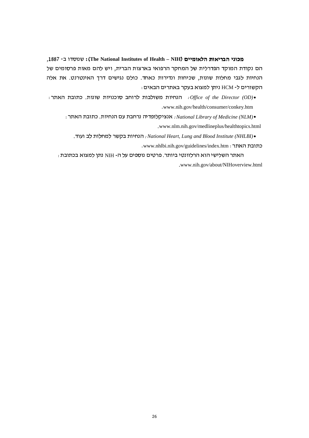מכוני הבריאות הלאומיים (The National Institutes of Health - NIH): שנוסדו ב- 1887, הם נקודת המוקד הפדרלית של המחקר הרפואי בארצות הברית, ויש להם מאות פרסומים של הנחיות לגבי מחלות שונות, שכיחות ונדירות כאחד. כולם נגישים דרך האינטרנט. את אלה הקשורים ל- HCM ניתן למצוא בעקר באתרים הבאים:

 $\cdot$  ו-Office of the Director (OD). הנחיות משולבות לרוחב סוכנויות שונות. כתובת האתר .www.nih.gov/health/consumer/conkey.htm

 $:$ ו וואתר האתר והאנגיקלופדיה נרחבת עם הנחיות. כתובת האתר ו- $National\, Library\, of\, Medicine\, (NLM)$ .www.nlm.nih.gov/medlineplus/healthtopics.html

. הנחיות בקשר למחלות לב ועוד: National Heart, Lung and Blood Institute (NHLBI). .www.nhlbi.nih.gov/guidelines/index.htm : כתובת האתר

האתר השלישי הוא הרלוונטי ביותר. פרטים נוספים על ה- NIH נתן למצוא בכתובת : .www.nih.gov/about/NIHoverview.html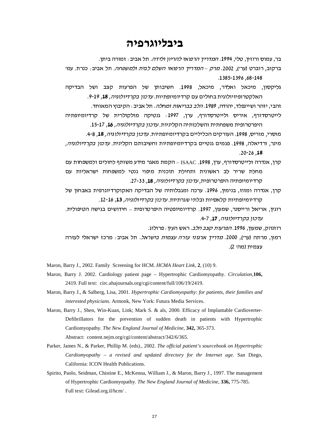#### ביבליוגרפיה

בר, עמוס ורוזין, טלי, 1994. *המדריך הרפואי להריון ולידה*. תל אביב : זמורה ביתן.

ברקוב, רוברט (ער׳), 2002. *מרק – המדריד הרפואי השלם לבית ולמשפחה*. תל אביב $\cdot$  כנרת. עמ׳ .1385-1396.68-148

גליקסון, מיכאל ואלדר, מיכאל, 1998. חשיבותן של הפרעות קצב ושל הבדיקה האלקטרופיזיולוגית בחולים עם קרדיומיופתיות. *עדכון בקרדיולוגיה,* 18, 19-19.

זהבי, יזהר ושיינפלד, יהודה, 1989. *הלב בבריאות ומחלה*. תל אביב : הקיבוץ המאוחד.

לייטרסדורף, איריס ולייטרסדורף, ערן, 1997: גנטיקה מולקולרית של קרדיומיופתיה היפרטרופית משפחתית והשלכותיה הקליניות. *עדכון בקרדיולוגיה,* 16, 17-15.

מוסרי, מוריס, 1998. העורקים הכליליים בקרדיומיופתיות. *עדכון בקרדיולוגיה,* 18, 8-4.

מינר, ורדיאלה, 1998. פגמים גנטיים בקרדיומיופתיות וחשיבותם הקלינית. *עדכון בקרדיולוגיה,*  $.20 - 26$ .18

- קרו, אנדרה ולייטרסדורף, ערו, 1998. ISAAC הקמת מאגר מידע משותף לחולים ולמשפחות עם מחלת שריר לב ראשונית ותחילת תוכנית מיפוי גנטי למשפחות ישראליות עם קרדיומיופתיה היפרטרופית, *עדכון בקרדיולוגיה,* 18, 27-33.
- קרן, אנדרה ומזוז, בנימין, 1996. ערכה ומגבלותיה של הבדיקה האקוקרדיוגרפית באבחון של קרדיומיופתיות קלאסיות ובלתי שגרתיות. *עדכון בקרדיולוגיה,* 13, 16-12.
- .<br>רוגין, אריאל ורייסנר, שמעון, 1997. קרדיומיופטיה היפרטרופית חידושים בגישה הטיפולית עדכון בקרדיולוגיה, 17, 7-4.

רוזנהק, שמעון, 1996. *הפרעות קצב הלב.* ראש העין : פרולוג.

רמון, מרתה (ער׳), 2000. *מדריך ארגוני עזרה עצמית בישראל.* תל אביב<sub>:</sub> מרכז ישראלי לעזרה עצמית (מהי 2).

Maron, Barry J., 2002. Family Screening for HCM. HCMA Heart Link, 2, (10) 9.

- Maron, Barry J. 2002. Cardiology patient page Hypertrophic Cardiomyopathy. Circulation, 106, 2419. Full text: circ.ahajournals.org/cgi/content/full/106/19/2419.
- Maron, Barry J., & Salberg, Lisa, 2001. Hypertrophic Cardiomyopathy: for patients, their families and interested physicians. Armonk, New York: Futura Media Services.
- Maron, Barry J., Shen, Win-Kuan, Link; Mark S. & als, 2000. Efficacy of Implantable Cardioverter-Defibrillators for the prevention of sudden death in patients with Hypertrophic Cardiomyopathy. The New England Journal of Medicine, 342, 365-373. Abstract: content.nejm.org/cgi/content/abstract/342/6/365.

Parker, James N., & Parker, Phillip M. (eds)., 2002. The official patient's sourcebook on Hypertrophic Cardiomyopathy - a revised and updated directory for thr Internet age. San Diego, California: ICON Health Publications.

Spirito, Paolo, Seidman, Chistine E., McKenna, William J., & Maron, Barry J., 1997. The management of Hypertrophic Cardiomyopathy. The New England Journal of Medicine, 336, 775-785. Full text: Gilead.org.il/hcm/.